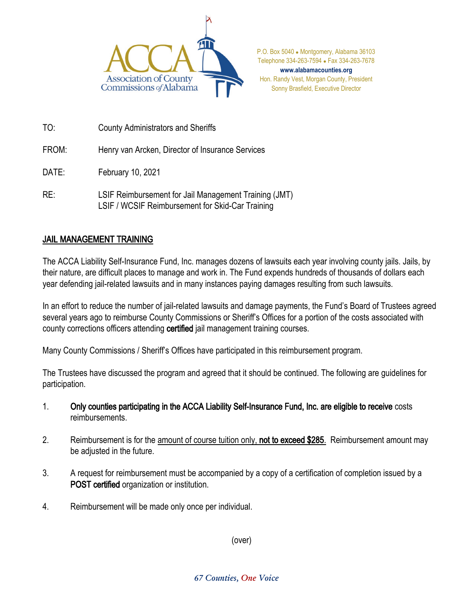

P.O. Box 5040 . Montgomery, Alabama 36103 Telephone 334-263-7594 Fax 334-263-7678 **www.alabamacounties.org** Hon. Randy Vest, Morgan County, President Sonny Brasfield, Executive Director

TO: County Administrators and Sheriffs

FROM: Henry van Arcken, Director of Insurance Services

DATE: February 10, 2021

RE: LSIF Reimbursement for Jail Management Training (JMT) LSIF / WCSIF Reimbursement for Skid-Car Training

## JAIL MANAGEMENT TRAINING

The ACCA Liability Self-Insurance Fund, Inc. manages dozens of lawsuits each year involving county jails. Jails, by their nature, are difficult places to manage and work in. The Fund expends hundreds of thousands of dollars each year defending jail-related lawsuits and in many instances paying damages resulting from such lawsuits.

In an effort to reduce the number of jail-related lawsuits and damage payments, the Fund's Board of Trustees agreed several years ago to reimburse County Commissions or Sheriff's Offices for a portion of the costs associated with county corrections officers attending certified jail management training courses.

Many County Commissions / Sheriff's Offices have participated in this reimbursement program.

The Trustees have discussed the program and agreed that it should be continued. The following are guidelines for participation.

- 1. Only counties participating in the ACCA Liability Self-Insurance Fund, Inc. are eligible to receive costs reimbursements.
- 2. Reimbursement is for the amount of course tuition only, not to exceed \$285. Reimbursement amount may be adjusted in the future.
- 3. A request for reimbursement must be accompanied by a copy of a certification of completion issued by a POST certified organization or institution.
- 4. Reimbursement will be made only once per individual.

(over)